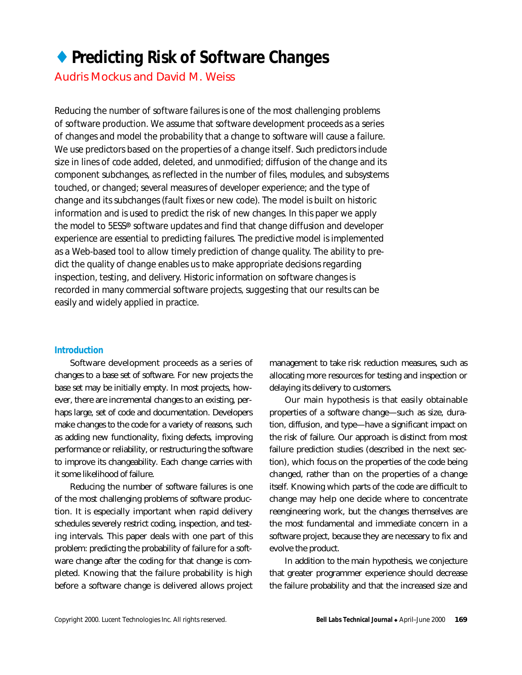# ♦ **Predicting Risk of Software Changes**

*[Audris Mockus and David M. Weiss](#page-10-0)*

*Reducing the number of software failures is one of the most challenging problems of software production. We assume that software development proceeds as a series of changes and model the probability that a change to software will cause a failure. We use predictors based on the properties of a change itself. Such predictors include size in lines of code added, deleted, and unmodified; diffusion of the change and its component subchanges, as reflected in the number of files, modules, and subsystems touched, or changed; several measures of developer experience; and the type of change and its subchanges (fault fixes or new code). The model is built on historic information and is used to predict the risk of new changes. In this paper we apply the model to 5ESS*® *software updates and find that change diffusion and developer experience are essential to predicting failures. The predictive model is implemented as a Web-based tool to allow timely prediction of change quality. The ability to predict the quality of change enables us to make appropriate decisions regarding inspection, testing, and delivery. Historic information on software changes is recorded in many commercial software projects, suggesting that our results can be easily and widely applied in practice.*

# **Introduction**

Software development proceeds as a series of changes to a base set of software. For new projects the base set may be initially empty. In most projects, however, there are incremental changes to an existing, perhaps large, set of code and documentation. Developers make changes to the code for a variety of reasons, such as adding new functionality, fixing defects, improving performance or reliability, or restructuring the software to improve its changeability. Each change carries with it some likelihood of failure.

Reducing the number of software failures is one of the most challenging problems of software production. It is especially important when rapid delivery schedules severely restrict coding, inspection, and testing intervals. This paper deals with one part of this problem: predicting the probability of failure for a software change after the coding for that change is completed. Knowing that the failure probability is high before a software change is delivered allows project management to take risk reduction measures, such as allocating more resources for testing and inspection or delaying its delivery to customers.

Our main hypothesis is that easily obtainable properties of a software change—such as size, duration, diffusion, and type—have a significant impact on the risk of failure. Our approach is distinct from most failure prediction studies (described in the next section), which focus on the properties of the code being changed, rather than on the properties of a change itself. Knowing which parts of the code are difficult to change may help one decide where to concentrate reengineering work, but the changes themselves are the most fundamental and immediate concern in a software project, because they are necessary to fix and evolve the product.

In addition to the main hypothesis, we conjecture that greater programmer experience should decrease the failure probability and that the increased size and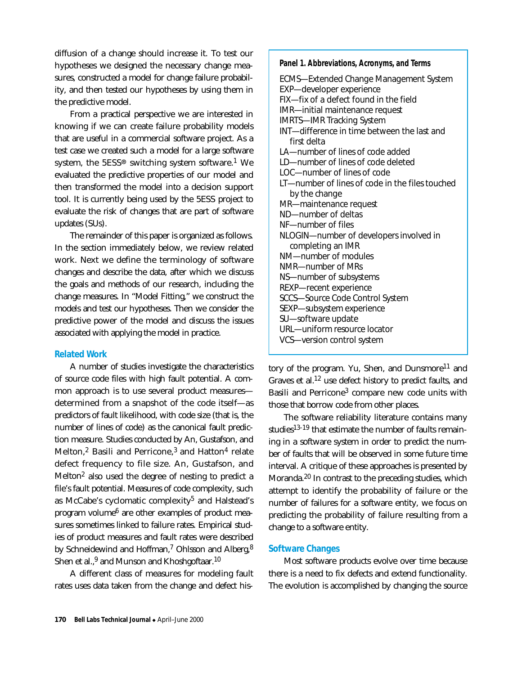diffusion of a change should increase it. To test our hypotheses we designed the necessary change measures, constructed a model for change failure probability, and then tested our hypotheses by using them in the predictive model.

From a practical perspective we are interested in knowing if we can create failure probability models that are useful in a commercial software project. As a test case we created such a model for a large software system, the 5ESS® switching system software.<sup>1</sup> We evaluated the predictive properties of our model and then transformed the model into a decision support tool. It is currently being used by the 5ESS project to evaluate the risk of changes that are part of software updates (SUs).

The remainder of this paper is organized as follows. In the section immediately below, we review related work. Next we define the terminology of software changes and describe the data, after which we discuss the goals and methods of our research, including the change measures. In "Model Fitting," we construct the models and test our hypotheses. Then we consider the predictive power of the model and discuss the issues associated with applying the model in practice.

# **Related Work**

A number of studies investigate the characteristics of source code files with high fault potential. A common approach is to use several product measures determined from a snapshot of the code itself—as predictors of fault likelihood, with code size (that is, the number of lines of code) as the canonical fault prediction measure. Studies conducted by An, Gustafson, and Melton,<sup>2</sup> Basili and Perricone,<sup>3</sup> and Hatton<sup>4</sup> relate defect frequency to file size. An, Gustafson, and Melton2 also used the degree of nesting to predict a file's fault potential. Measures of code complexity, such as McCabe's cyclomatic complexity<sup>5</sup> and Halstead's program volume $6$  are other examples of product measures sometimes linked to failure rates. Empirical studies of product measures and fault rates were described by Schneidewind and Hoffman,<sup>7</sup> Ohlsson and Alberg,<sup>8</sup> Shen et al.,<sup>9</sup> and Munson and Khoshgoftaar.<sup>10</sup>

A different class of measures for modeling fault rates uses data taken from the change and defect his**Panel 1. Abbreviations, Acronyms, and Terms** ECMS—Extended Change Management System EXP—developer experience FIX—fix of a defect found in the field IMR—initial maintenance request IMRTS—IMR Tracking System INT—difference in time between the last and first delta LA—number of lines of code added LD—number of lines of code deleted LOC—number of lines of code LT—number of lines of code in the files touched by the change MR—maintenance request ND—number of deltas NF—number of files NLOGIN—number of developers involved in completing an IMR NM—number of modules NMR—number of MRs NS—number of subsystems REXP—recent experience SCCS—Source Code Control System SEXP—subsystem experience SU—software update URL—uniform resource locator VCS—version control system

tory of the program. Yu, Shen, and Dunsmore<sup>11</sup> and Graves et al.12 use defect history to predict faults, and Basili and Perricone3 compare new code units with those that borrow code from other places.

The software reliability literature contains many studies<sup>13-19</sup> that estimate the number of faults remaining in a software system in order to predict the number of faults that will be observed in some future time interval. A critique of these approaches is presented by Moranda.20 In contrast to the preceding studies, which attempt to identify the probability of failure or the number of failures for a software entity, we focus on predicting the probability of failure resulting from a change to a software entity.

#### **Software Changes**

Most software products evolve over time because there is a need to fix defects and extend functionality. The evolution is accomplished by changing the source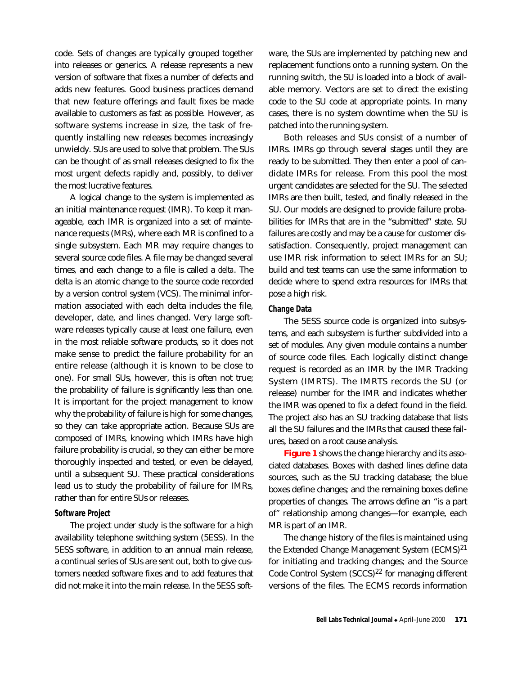code. Sets of changes are typically grouped together into releases or generics. A release represents a new version of software that fixes a number of defects and adds new features. Good business practices demand that new feature offerings and fault fixes be made available to customers as fast as possible. However, as software systems increase in size, the task of frequently installing new releases becomes increasingly unwieldy. SUs are used to solve that problem. The SUs can be thought of as small releases designed to fix the most urgent defects rapidly and, possibly, to deliver the most lucrative features.

A logical change to the system is implemented as an initial maintenance request (IMR). To keep it manageable, each IMR is organized into a set of maintenance requests (MRs), where each MR is confined to a single subsystem. Each MR may require changes to several source code files. A file may be changed several times, and each change to a file is called a *delta*. The delta is an atomic change to the source code recorded by a version control system (VCS). The minimal information associated with each delta includes the file, developer, date, and lines changed. Very large software releases typically cause at least one failure, even in the most reliable software products, so it does not make sense to predict the failure probability for an entire release (although it is known to be close to one). For small SUs, however, this is often not true; the probability of failure is significantly less than one. It is important for the project management to know why the probability of failure is high for some changes, so they can take appropriate action. Because SUs are composed of IMRs, knowing which IMRs have high failure probability is crucial, so they can either be more thoroughly inspected and tested, or even be delayed, until a subsequent SU. These practical considerations lead us to study the probability of failure for IMRs, rather than for entire SUs or releases.

#### **Software Project**

The project under study is the software for a high availability telephone switching system (5ESS). In the 5ESS software, in addition to an annual main release, a continual series of SUs are sent out, both to give customers needed software fixes and to add features that did not make it into the main release. In the 5ESS software, the SUs are implemented by patching new and replacement functions onto a running system. On the running switch, the SU is loaded into a block of available memory. Vectors are set to direct the existing code to the SU code at appropriate points. In many cases, there is no system downtime when the SU is patched into the running system.

Both releases and SUs consist of a number of IMRs. IMRs go through several stages until they are ready to be submitted. They then enter a pool of candidate IMRs for release. From this pool the most urgent candidates are selected for the SU. The selected IMRs are then built, tested, and finally released in the SU. Our models are designed to provide failure probabilities for IMRs that are in the "submitted" state. SU failures are costly and may be a cause for customer dissatisfaction. Consequently, project management can use IMR risk information to select IMRs for an SU; build and test teams can use the same information to decide where to spend extra resources for IMRs that pose a high risk.

# **Change Data**

The 5ESS source code is organized into subsystems, and each subsystem is further subdivided into a set of modules. Any given module contains a number of source code files. Each logically distinct change request is recorded as an IMR by the IMR Tracking System (IMRTS). The IMRTS records the SU (or release) number for the IMR and indicates whether the IMR was opened to fix a defect found in the field. The project also has an SU tracking database that lists all the SU failures and the IMRs that caused these fail[ures, based on a](#page-3-0) root cause analysis.

**Figure 1** shows the change hierarchy and its associated databases. Boxes with dashed lines define data sources, such as the SU tracking database; the blue boxes define changes; and the remaining boxes define properties of changes. The arrows define an "is a part of" relationship among changes—for example, each MR is part of an IMR.

The change history of the files is maintained using the Extended Change Management System (ECMS)<sup>21</sup> for initiating and tracking changes; and the Source Code Control System (SCCS)<sup>22</sup> for managing different versions of the files. The ECMS records information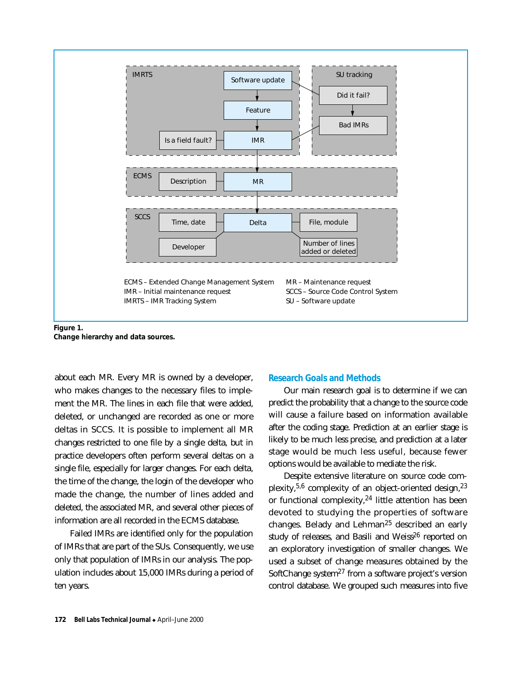<span id="page-3-0"></span>



about each MR. Every MR is owned by a developer, who makes changes to the necessary files to implement the MR. The lines in each file that were added, deleted, or unchanged are recorded as one or more deltas in SCCS. It is possible to implement all MR changes restricted to one file by a single delta, but in practice developers often perform several deltas on a single file, especially for larger changes. For each delta, the time of the change, the login of the developer who made the change, the number of lines added and deleted, the associated MR, and several other pieces of information are all recorded in the ECMS database.

Failed IMRs are identified only for the population of IMRs that are part of the SUs. Consequently, we use only that population of IMRs in our analysis. The population includes about 15,000 IMRs during a period of ten years.

#### **Research Goals and Methods**

Our main research goal is to determine if we can predict the probability that a change to the source code will cause a failure based on information available after the coding stage. Prediction at an earlier stage is likely to be much less precise, and prediction at a later stage would be much less useful, because fewer options would be available to mediate the risk.

Despite extensive literature on source code complexity,5,6 complexity of an object-oriented design,23 or functional complexity,24 little attention has been devoted to studying the properties of software changes. Belady and Lehman<sup>25</sup> described an early study of releases, and Basili and Weiss<sup>26</sup> reported on an exploratory investigation of smaller changes. We used a subset of change measures obtained by the SoftChange system $27$  from a software project's version control database. We grouped such measures into five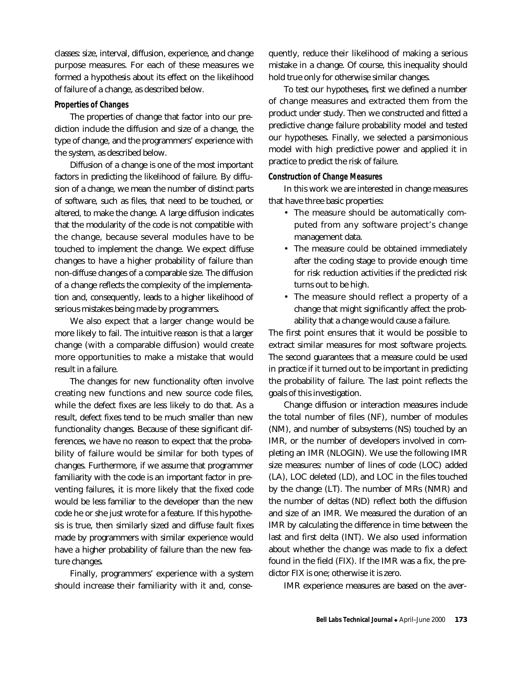classes: size, interval, diffusion, experience, and change purpose measures. For each of these measures we formed a hypothesis about its effect on the likelihood of failure of a change, as described below.

#### **Properties of Changes**

The properties of change that factor into our prediction include the diffusion and size of a change, the type of change, and the programmers' experience with the system, as described below.

Diffusion of a change is one of the most important factors in predicting the likelihood of failure. By diffusion of a change, we mean the number of distinct parts of software, such as files, that need to be touched, or altered, to make the change. A large diffusion indicates that the modularity of the code is not compatible with the change, because several modules have to be touched to implement the change. We expect diffuse changes to have a higher probability of failure than non-diffuse changes of a comparable size. The diffusion of a change reflects the complexity of the implementation and, consequently, leads to a higher likelihood of serious mistakes being made by programmers.

We also expect that a larger change would be more likely to fail. The intuitive reason is that a larger change (with a comparable diffusion) would create more opportunities to make a mistake that would result in a failure.

The changes for new functionality often involve creating new functions and new source code files, while the defect fixes are less likely to do that. As a result, defect fixes tend to be much smaller than new functionality changes. Because of these significant differences, we have no reason to expect that the probability of failure would be similar for both types of changes. Furthermore, if we assume that programmer familiarity with the code is an important factor in preventing failures, it is more likely that the fixed code would be less familiar to the developer than the new code he or she just wrote for a feature. If this hypothesis is true, then similarly sized and diffuse fault fixes made by programmers with similar experience would have a higher probability of failure than the new feature changes.

Finally, programmers' experience with a system should increase their familiarity with it and, consequently, reduce their likelihood of making a serious mistake in a change. Of course, this inequality should hold true only for otherwise similar changes.

To test our hypotheses, first we defined a number of change measures and extracted them from the product under study. Then we constructed and fitted a predictive change failure probability model and tested our hypotheses. Finally, we selected a parsimonious model with high predictive power and applied it in practice to predict the risk of failure.

#### **Construction of Change Measures**

In this work we are interested in change measures that have three basic properties:

- The measure should be automatically computed from any software project's change management data.
- The measure could be obtained immediately after the coding stage to provide enough time for risk reduction activities if the predicted risk turns out to be high.
- The measure should reflect a property of a change that might significantly affect the probability that a change would cause a failure.

The first point ensures that it would be possible to extract similar measures for most software projects. The second guarantees that a measure could be used in practice if it turned out to be important in predicting the probability of failure. The last point reflects the goals of this investigation.

Change diffusion or interaction measures include the total number of files (NF), number of modules (NM), and number of subsystems (NS) touched by an IMR, or the number of developers involved in completing an IMR (NLOGIN). We use the following IMR size measures: number of lines of code (LOC) added (LA), LOC deleted (LD), and LOC in the files touched by the change (LT). The number of MRs (NMR) and the number of deltas (ND) reflect both the diffusion and size of an IMR. We measured the duration of an IMR by calculating the difference in time between the last and first delta (INT). We also used information about whether the change was made to fix a defect found in the field (FIX). If the IMR was a fix, the predictor FIX is one; otherwise it is zero.

IMR experience measures are based on the aver-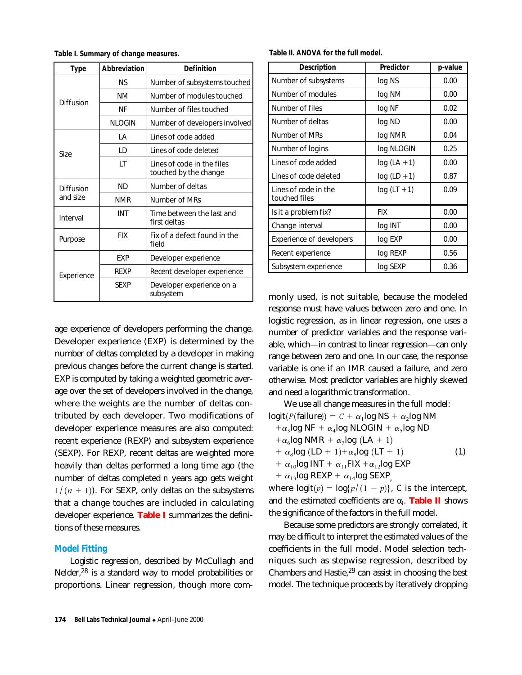**Table I. Summary of change measures.**

| Type                  | Abbreviation  | Definition                                          |  |
|-----------------------|---------------|-----------------------------------------------------|--|
| Diffusion             | ΝS            | Number of subsystems touched                        |  |
|                       | <b>NM</b>     | Number of modules touched                           |  |
|                       | ΝF            | Number of files touched                             |  |
|                       | <b>NLOGIN</b> | Number of developers involved                       |  |
| Size                  | LA            | Lines of code added                                 |  |
|                       | LD            | Lines of code deleted                               |  |
|                       | ΙT            | Lines of code in the files<br>touched by the change |  |
| Diffusion<br>and size | <b>ND</b>     | Number of deltas                                    |  |
|                       | <b>NMR</b>    | Number of MRs                                       |  |
| Interval              | INT           | Time between the last and<br>first deltas           |  |
| <b>FIX</b><br>Purpose |               | Fix of a defect found in the<br>field               |  |
| Experience            | EXP           | Developer experience                                |  |
|                       | REXP          | Recent developer experience                         |  |
|                       | <b>SFXP</b>   | Developer experience on a<br>subsystem              |  |

age experience of developers performing the change. Developer experience (EXP) is determined by the number of deltas completed by a developer in making previous changes before the current change is started. EXP is computed by taking a weighted geometric average over the set of developers involved in the change, where the weights are the number of deltas contributed by each developer. Two modifications of developer experience measures are also computed: recent experience (REXP) and subsystem experience (SEXP). For REXP, recent deltas are weighted more heavily than deltas performed a long time ago (the number of deltas completed *n* years ago gets weight  $1/(n + 1)$ ). For SEXP, only deltas on the subsystems that a change touches are included in calculating developer experience. **Table I** summarizes the definitions of these measures.

### **Model Fitting**

Logistic regression, described by McCullagh and Nelder,28 is a standard way to model probabilities or proportions. Linear regression, though more com**Table II. ANOVA for the full model.**

| Description                           | Predictor      | p-value |
|---------------------------------------|----------------|---------|
| Number of subsystems                  | log NS         | 0.00    |
| Number of modules                     | log NM         | 0.00    |
| Number of files                       | log NF         | 0.02    |
| Number of deltas                      | log ND         | 0.00    |
| Number of MRs                         | log NMR        | 0.04    |
| Number of logins                      | log NLOGIN     | 0.25    |
| Lines of code added                   | $log(LA + 1)$  | 0.00    |
| Lines of code deleted                 | $log (LD + 1)$ | 0.87    |
| Lines of code in the<br>touched files | $log(LT + 1)$  | 0.09    |
| Is it a problem fix?                  | FIX            | 0.00    |
| Change interval                       | log INT        | 0.00    |
| <b>Experience of developers</b>       | log EXP        | 0.00    |
| Recent experience                     | log REXP       | 0.56    |
| Subsystem experience                  | log SEXP       | 0.36    |

monly used, is not suitable, because the modeled response must have values between zero and one. In logistic regression, as in linear regression, one uses a number of predictor variables and the response variable, which—in contrast to linear regression—can only range between zero and one. In our case, the response variable is one if an IMR caused a failure, and zero otherwise. Most predictor variables are highly skewed and need a logarithmic transformation.

We use all change measures in the full model: (1) +  $\alpha_{13}$ log REXP +  $\alpha_{14}$ log SEXP<sub>,</sub>  $+ \alpha_{10} \log INT + \alpha_{11} FIX + \alpha_{12} \log EXP$ +  $\alpha_s$ log (LD + 1)+ $\alpha_s$ log (LT + 1)  $+\alpha_6 \log NMR + \alpha_7 \log (LA + 1)$  $+\alpha_3 \log NF + \alpha_4 \log NLOGIN + \alpha_5 \log ND$  $logit(P(failure)) = C + \alpha_1 log NS + \alpha_2 log NM$ 

where  $logit(p) = log\{p/(1-p)\}, C$  is the intercept, and the estimated coefficients are α*<sup>i</sup>* . **Table II** shows the significance of the factors in the full model.

Because some predictors are strongly correlated, it may be difficult to interpret the estimated values of the coefficients in the full model. Model selection techniques such as stepwise regression, described by Chambers and Hastie, $29$  can assist in choosing the best model. The technique proceeds by iteratively dropping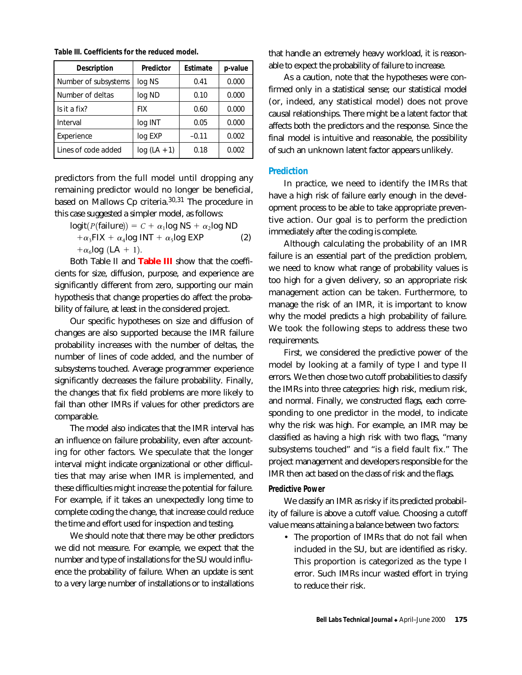| Description          | Predictor     | <b>Estimate</b> | p-value |
|----------------------|---------------|-----------------|---------|
| Number of subsystems | log NS        | 0.41            | 0.000   |
| Number of deltas     | log ND        | 0.10            | 0.000   |
| Is it a fix?         | <b>FIX</b>    | 0.60            | 0.000   |
| Interval             | log INT       | 0.05            | 0.000   |
| Experience           | log EXP       | $-0.11$         | 0.002   |
| Lines of code added  | $log(LA + 1)$ | 0.18            | 0.002   |

**Table III. Coefficients for the reduced model.**

predictors from the full model until dropping any remaining predictor would no longer be beneficial, based on Mallows Cp criteria.30,31 The procedure in this case suggested a simpler model, as follows:

$$
logit(P(failure)) = C + \alpha_1 log NS + \alpha_2 log ND
$$
  
+ $\alpha_3 FIX + \alpha_4 log INT + \alpha_5 log EXP$  (2)  
+ $\alpha_6 log (LA + 1)$ .

Both Table II and **Table III** show that the coefficients for size, diffusion, purpose, and experience are significantly different from zero, supporting our main hypothesis that change properties do affect the probability of failure, at least in the considered project.

Our specific hypotheses on size and diffusion of changes are also supported because the IMR failure probability increases with the number of deltas, the number of lines of code added, and the number of subsystems touched. Average programmer experience significantly decreases the failure probability. Finally, the changes that fix field problems are more likely to fail than other IMRs if values for other predictors are comparable.

The model also indicates that the IMR interval has an influence on failure probability, even after accounting for other factors. We speculate that the longer interval might indicate organizational or other difficulties that may arise when IMR is implemented, and these difficulties might increase the potential for failure. For example, if it takes an unexpectedly long time to complete coding the change, that increase could reduce the time and effort used for inspection and testing.

We should note that there may be other predictors we did not measure. For example, we expect that the number and type of installations for the SU would influence the probability of failure. When an update is sent to a very large number of installations or to installations

that handle an extremely heavy workload, it is reasonable to expect the probability of failure to increase.

As a caution, note that the hypotheses were confirmed only in a statistical sense; our statistical model (or, indeed, any statistical model) does not prove causal relationships. There might be a latent factor that affects both the predictors and the response. Since the final model is intuitive and reasonable, the possibility of such an unknown latent factor appears unlikely.

# **Prediction**

In practice, we need to identify the IMRs that have a high risk of failure early enough in the development process to be able to take appropriate preventive action. Our goal is to perform the prediction immediately after the coding is complete.

Although calculating the probability of an IMR failure is an essential part of the prediction problem, we need to know what range of probability values is too high for a given delivery, so an appropriate risk management action can be taken. Furthermore, to manage the risk of an IMR, it is important to know why the model predicts a high probability of failure. We took the following steps to address these two requirements.

First, we considered the predictive power of the model by looking at a family of type I and type II errors. We then chose two cutoff probabilities to classify the IMRs into three categories: high risk, medium risk, and normal. Finally, we constructed flags, each corresponding to one predictor in the model, to indicate why the risk was high. For example, an IMR may be classified as having a high risk with two flags, "many subsystems touched" and "is a field fault fix." The project management and developers responsible for the IMR then act based on the class of risk and the flags.

## **Predictive Power**

We classify an IMR as risky if its predicted probability of failure is above a cutoff value. Choosing a cutoff value means attaining a balance between two factors:

• The proportion of IMRs that do not fail when included in the SU, but are identified as risky. This proportion is categorized as the type I error. Such IMRs incur wasted effort in trying to reduce their risk.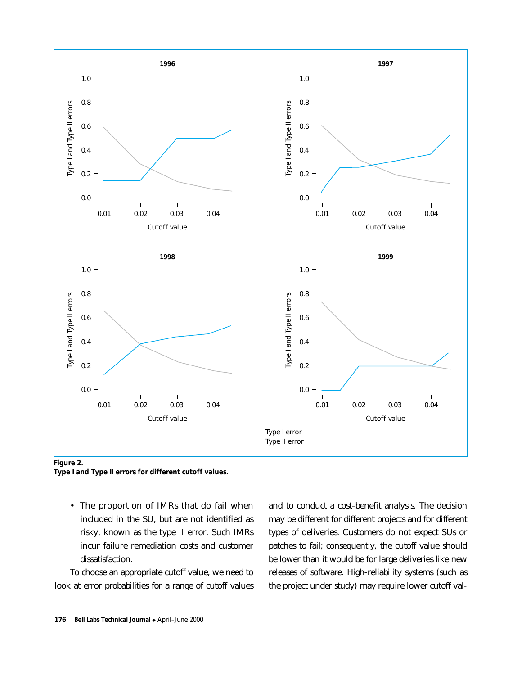<span id="page-7-0"></span>

*Figure 2. Type I and Type II errors for different cutoff values.*

• The proportion of IMRs that do fail when included in the SU, but are not identified as risky, known as the type II error. Such IMRs incur failure remediation costs and customer dissatisfaction.

To choose an appropriate cutoff value, we need to look at error probabilities for a range of cutoff values and to conduct a cost-benefit analysis. The decision may be different for different projects and for different types of deliveries. Customers do not expect SUs or patches to fail; consequently, the cutoff value should be lower than it would be for large deliveries like new releases of software. High-reliability systems (such as the project under study) may require lower cutoff val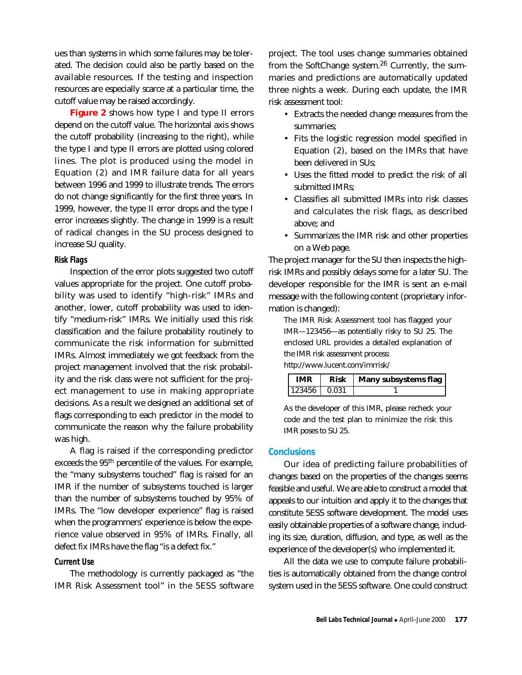ues than systems in which some failures may be tolerated. The decision could also be partly based on the available resources. If the testing and inspection resources are especially scarce at a particular time, the cutoff value may be raised accordingly.

**Figure 2** shows how type I and type II errors d[epend on the cut](#page-7-0)off value. The horizontal axis shows the cutoff probability (increasing to the right), while the type I and type II errors are plotted using colored lines. The plot is produced using the model in Equation (2) and IMR failure data for all years between 1996 and 1999 to illustrate trends. The errors do not change significantly for the first three years. In 1999, however, the type II error drops and the type I error increases slightly. The change in 1999 is a result of radical changes in the SU process designed to increase SU quality.

## **Risk Flags**

Inspection of the error plots suggested two cutoff values appropriate for the project. One cutoff probability was used to identify "high-risk" IMRs and another, lower, cutoff probability was used to identify "medium-risk" IMRs. We initially used this risk classification and the failure probability routinely to communicate the risk information for submitted IMRs. Almost immediately we got feedback from the project management involved that the risk probability and the risk class were not sufficient for the project management to use in making appropriate decisions. As a result we designed an additional set of flags corresponding to each predictor in the model to communicate the reason why the failure probability was high.

A flag is raised if the corresponding predictor exceeds the 95th percentile of the values. For example, the "many subsystems touched" flag is raised for an IMR if the number of subsystems touched is larger than the number of subsystems touched by 95% of IMRs. The "low developer experience" flag is raised when the programmers' experience is below the experience value observed in 95% of IMRs. Finally, all defect fix IMRs have the flag "is a defect fix."

# **Current Use**

The methodology is currently packaged as "the IMR Risk Assessment tool" in the 5ESS software

project. The tool uses change summaries obtained from the SoftChange system.26 Currently, the summaries and predictions are automatically updated three nights a week. During each update, the IMR risk assessment tool:

- Extracts the needed change measures from the summaries;
- Fits the logistic regression model specified in Equation (2), based on the IMRs that have been delivered in SUs;
- Uses the fitted model to predict the risk of all submitted IMRs;
- Classifies all submitted IMRs into risk classes and calculates the risk flags, as described above; and
- Summarizes the IMR risk and other properties on a Web page.

The project manager for the SU then inspects the highrisk IMRs and possibly delays some for a later SU. The developer responsible for the IMR is sent an e-mail message with the following content (proprietary information is changed):

The IMR Risk Assessment tool has flagged your IMR—123456—as potentially risky to SU 25. The enclosed URL provides a detailed explanation of the IMR risk assessment process:

http://www.lucent.com/imrrisk/

| IMR            | Risk   Many subsystems flag |
|----------------|-----------------------------|
| $123456$ 0.031 |                             |

As the developer of this IMR, please recheck your code and the test plan to minimize the risk this IMR poses to SU 25.

#### **Conclusions**

Our idea of predicting failure probabilities of changes based on the properties of the changes seems feasible and useful. We are able to construct a model that appeals to our intuition and apply it to the changes that constitute 5ESS software development. The model uses easily obtainable properties of a software change, including its size, duration, diffusion, and type, as well as the experience of the developer(s) who implemented it.

All the data we use to compute failure probabilities is automatically obtained from the change control system used in the 5ESS software. One could construct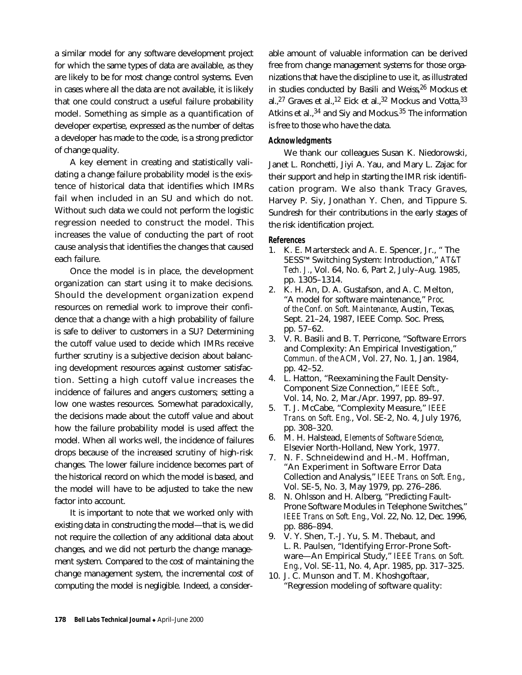a similar model for any software development project for which the same types of data are available, as they are likely to be for most change control systems. Even in cases where all the data are not available, it is likely that one could construct a useful failure probability model. Something as simple as a quantification of developer expertise, expressed as the number of deltas a developer has made to the code, is a strong predictor of change quality.

A key element in creating and statistically validating a change failure probability model is the existence of historical data that identifies which IMRs fail when included in an SU and which do not. Without such data we could not perform the logistic regression needed to construct the model. This increases the value of conducting the part of root cause analysis that identifies the changes that caused each failure.

Once the model is in place, the development organization can start using it to make decisions. Should the development organization expend resources on remedial work to improve their confidence that a change with a high probability of failure is safe to deliver to customers in a SU? Determining the cutoff value used to decide which IMRs receive further scrutiny is a subjective decision about balancing development resources against customer satisfaction. Setting a high cutoff value increases the incidence of failures and angers customers; setting a low one wastes resources. Somewhat paradoxically, the decisions made about the cutoff value and about how the failure probability model is used affect the model. When all works well, the incidence of failures drops because of the increased scrutiny of high-risk changes. The lower failure incidence becomes part of the historical record on which the model is based, and the model will have to be adjusted to take the new factor into account.

It is important to note that we worked only with existing data in constructing the model—that is, we did not require the collection of any additional data about changes, and we did not perturb the change management system. Compared to the cost of maintaining the change management system, the incremental cost of computing the model is negligible. Indeed, a considerable amount of valuable information can be derived free from change management systems for those organizations that have the discipline to use it, as illustrated in studies conducted by Basili and Weiss,<sup>26</sup> Mockus et al.,<sup>27</sup> Graves et al.,<sup>12</sup> Eick et al.,<sup>32</sup> Mockus and Votta,<sup>33</sup> Atkins et al., <sup>34</sup> and Siy and Mockus.<sup>35</sup> The information is free to those who have the data.

### **Acknowledgments**

We thank our colleagues Susan K. Niedorowski, Janet L. Ronchetti, Jiyi A. Yau, and Mary L. Zajac for their support and help in starting the IMR risk identification program. We also thank Tracy Graves, Harvey P. Siy, Jonathan Y. Chen, and Tippure S. Sundresh for their contributions in the early stages of the risk identification project.

#### **References**

- 1. K. E. Martersteck and A. E. Spencer, Jr., " The 5ESS† Switching System: Introduction," *AT&T Tech. J.*, Vol. 64, No. 6, Part 2, July–Aug. 1985, pp. 1305–1314.
- 2. K. H. An, D. A. Gustafson, and A. C. Melton, "A model for software maintenance," *Proc. of the Conf. on Soft. Maintenance*, Austin, Texas, Sept. 21–24, 1987, IEEE Comp. Soc. Press, pp. 57–62.
- 3. V. R. Basili and B. T. Perricone, "Software Errors and Complexity: An Empirical Investigation," *Commun. of the ACM*, Vol. 27, No. 1, Jan. 1984, pp. 42–52.
- 4. L. Hatton, "Reexamining the Fault Density-Component Size Connection," *IEEE Soft.*, Vol. 14, No. 2, Mar./Apr. 1997, pp. 89–97.
- 5. T. J. McCabe, "Complexity Measure," *IEEE Trans. on Soft. Eng.*, Vol. SE-2, No. 4, July 1976, pp. 308–320.
- 6. M. H. Halstead, *Elements of Software Science*, Elsevier North-Holland, New York, 1977.
- 7. N. F. Schneidewind and H.-M. Hoffman, "An Experiment in Software Error Data Collection and Analysis," *IEEE Trans. on Soft. Eng.*, Vol. SE-5, No. 3, May 1979, pp. 276–286.
- 8. N. Ohlsson and H. Alberg, "Predicting Fault-Prone Software Modules in Telephone Switches," *IEEE Trans. on Soft. Eng.*, Vol. 22, No. 12, Dec. 1996, pp. 886–894.
- 9. V. Y. Shen, T.-J. Yu, S. M. Thebaut, and L. R. Paulsen, "Identifying Error-Prone Software—An Empirical Study," *IEEE Trans. on Soft. Eng.*, Vol. SE-11, No. 4, Apr. 1985, pp. 317–325.
- 10. J. C. Munson and T. M. Khoshgoftaar, "Regression modeling of software quality: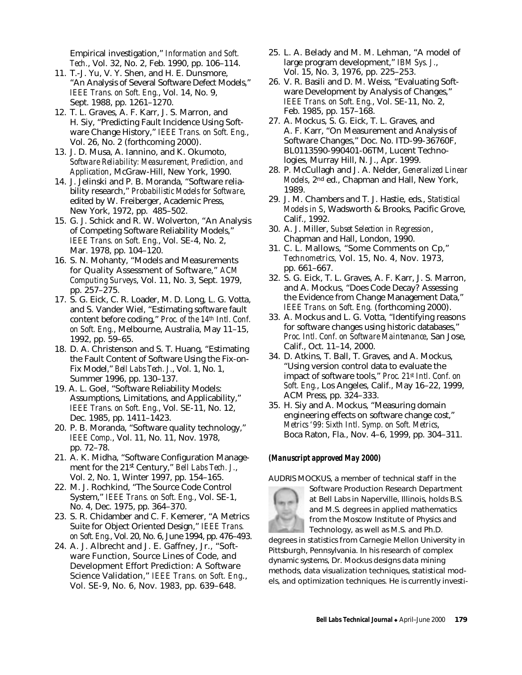<span id="page-10-0"></span>Empirical investigation," *Information and Soft. Tech.*, Vol. 32, No. 2, Feb. 1990, pp. 106–114.

- 11. T.-J. Yu, V. Y. Shen, and H. E. Dunsmore, "An Analysis of Several Software Defect Models," *IEEE Trans. on Soft. Eng.*, Vol. 14, No. 9, Sept. 1988, pp. 1261–1270.
- 12. T. L. Graves, A. F. Karr, J. S. Marron, and H. Siy, "Predicting Fault Incidence Using Software Change History," *IEEE Trans. on Soft. Eng.*, Vol. 26, No. 2 (forthcoming 2000).
- 13. J. D. Musa, A. Iannino, and K. Okumoto, *Software Reliability: Measurement, Prediction, and Application*, McGraw-Hill, New York, 1990.
- 14. J. Jelinski and P. B. Moranda, "Software reliability research," *Probabilistic Models for Software*, edited by W. Freiberger, Academic Press, New York, 1972, pp. 485–502.
- 15. G. J. Schick and R. W. Wolverton, "An Analysis of Competing Software Reliability Models," *IEEE Trans. on Soft. Eng.*, Vol. SE-4, No. 2, Mar. 1978, pp. 104–120.
- 16. S. N. Mohanty, "Models and Measurements for Quality Assessment of Software," *ACM Computing Surveys*, Vol. 11, No. 3, Sept. 1979, pp. 257–275.
- 17. S. G. Eick, C. R. Loader, M. D. Long, L. G. Votta, and S. Vander Wiel, "Estimating software fault content before coding," *Proc. of the 14th Intl. Conf. on Soft. Eng.*, Melbourne, Australia, May 11–15, 1992, pp. 59–65.
- 18. D. A. Christenson and S. T. Huang, "Estimating the Fault Content of Software Using the Fix-on-Fix Model," *Bell Labs Tech. J.*, Vol. 1, No. 1, Summer 1996, pp. 130–137.
- 19. A. L. Goel, "Software Reliability Models: Assumptions, Limitations, and Applicability," *IEEE Trans. on Soft. Eng.*, Vol. SE-11, No. 12, Dec. 1985, pp. 1411–1423.
- 20. P. B. Moranda, "Software quality technology," *IEEE Comp.*, Vol. 11, No. 11, Nov. 1978, pp. 72–78.
- 21. A. K. Midha, "Software Configuration Management for the 21st Century," *Bell Labs Tech. J.*, Vol. 2, No. 1, Winter 1997, pp. 154–165.
- 22. M. J. Rochkind, "The Source Code Control System," *IEEE Trans. on Soft. Eng.*, Vol. SE-1, No. 4, Dec. 1975, pp. 364–370.
- 23. S. R. Chidamber and C. F. Kemerer, "A Metrics Suite for Object Oriented Design," *IEEE Trans. on Soft. Eng.*, Vol. 20, No. 6, June 1994, pp. 476–493.
- 24. A. J. Albrecht and J. E. Gaffney, Jr., "Software Function, Source Lines of Code, and Development Effort Prediction: A Software Science Validation," *IEEE Trans. on Soft. Eng*., Vol. SE-9, No. 6, Nov. 1983, pp. 639–648.
- 25. L. A. Belady and M. M. Lehman, "A model of large program development," *IBM Sys. J.*, Vol. 15, No. 3, 1976, pp. 225–253.
- 26. V. R. Basili and D. M. Weiss, "Evaluating Software Development by Analysis of Changes," *IEEE Trans. on Soft. Eng.*, Vol. SE-11, No. 2, Feb. 1985, pp. 157–168.
- 27. A. Mockus, S. G. Eick, T. L. Graves, and A. F. Karr, "On Measurement and Analysis of Software Changes," Doc. No. ITD-99-36760F, BL0113590-990401-06TM, Lucent Technologies, Murray Hill, N. J., Apr. 1999.
- 28. P. McCullagh and J. A. Nelder, *Generalized Linear Models*, 2nd ed., Chapman and Hall, New York, 1989.
- 29. J. M. Chambers and T. J. Hastie, eds., *Statistical Models in S*, Wadsworth & Brooks, Pacific Grove, Calif., 1992.
- 30. A. J. Miller, *Subset Selection in Regression*, Chapman and Hall, London, 1990.
- 31. C. L. Mallows, "Some Comments on Cp," *Technometrics,* Vol. 15, No. 4, Nov. 1973, pp. 661–667.
- 32. S. G. Eick, T. L. Graves, A. F. Karr, J. S. Marron, and A. Mockus, "Does Code Decay? Assessing the Evidence from Change Management Data," *IEEE Trans. on Soft. Eng.* (forthcoming 2000).
- 33. A. Mockus and L. G. Votta, "Identifying reasons for software changes using historic databases," *Proc. Intl. Conf. on Software Maintenance*, San Jose, Calif., Oct. 11–14, 2000.
- 34. D. Atkins, T. Ball, T. Graves, and A. Mockus, "Using version control data to evaluate the impact of software tools," *Proc. 21st Intl. Conf. on Soft. Eng.*, Los Angeles, Calif., May 16–22, 1999, ACM Press, pp. 324–333.
- 35. H. Siy and A. Mockus, "Measuring domain engineering effects on software change cost," *Metrics '99: Sixth Intl. Symp. on Soft. Metrics*, Boca Raton, Fla., Nov. 4–6, 1999, pp. 304–311.

#### *(Manuscript approved May 2000)*

*AUDRIS MOCKUS, a member of technical staff in the*



*Software Production Research Department at Bell Labs in Naperville, Illinois, holds B.S. and M.S. degrees in applied mathematics from the Moscow Institute of Physics and Technology, as well as M.S. and Ph.D.*

*degrees in statistics from Carnegie Mellon University in Pittsburgh, Pennsylvania. In his research of complex dynamic systems, Dr. Mockus designs data mining methods, data visualization techniques, statistical models, and optimization techniques. He is currently investi-*